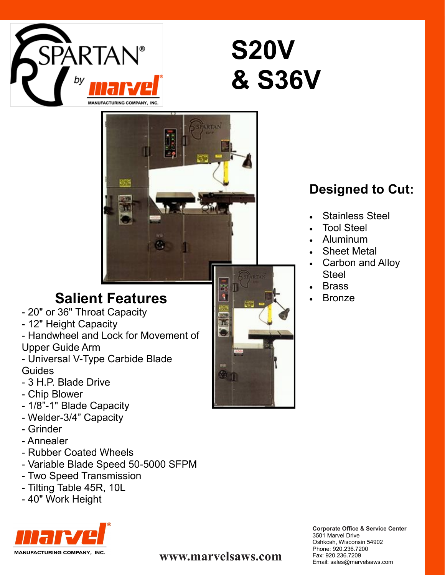

# **S20V & S36V**



# **Salient Features**

- 20" or 36" Throat Capacity
- 12" Height Capacity
- Handwheel and Lock for Movement of Upper Guide Arm
- Universal V-Type Carbide Blade Guides
- 3 H.P. Blade Drive
- Chip Blower
- 1/8"-1" Blade Capacity
- Welder-3/4" Capacity
- Grinder
- Annealer
- Rubber Coated Wheels
- Variable Blade Speed 50-5000 SFPM
- Two Speed Transmission
- Tilting Table 45R, 10L
- 40" Work Height



# **Designed to Cut:**

- Stainless Steel
- Tool Steel
- Aluminum
- Sheet Metal
- Carbon and Alloy Steel
- Brass
- Bronze

**Corporate Office & Service Center** 3501 Marvel Drive Oshkosh, Wisconsin 54902 Phone: 920.236.7200 Fax: 920.236.7209<br>Email: sales@marvelsaws.com

Email: sales@marvelsaws.com **www.marvelsaws.com**

M.

RS S.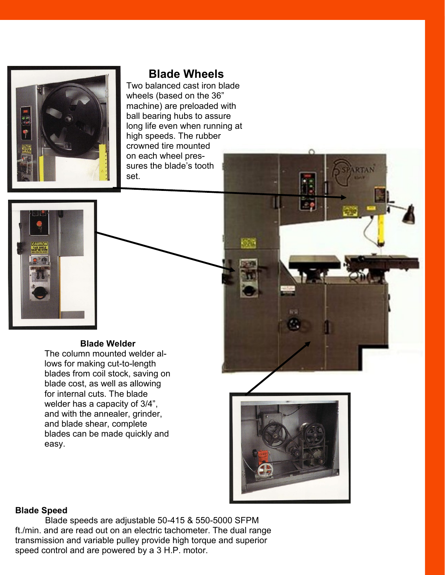

# **Blade Wheels**

Two balanced cast iron blade wheels (based on the 36" machine) are preloaded with ball bearing hubs to assure long life even when running at high speeds. The rubber crowned tire mounted on each wheel pressures the blade's tooth set.



#### **Blade Welder**

The column mounted welder allows for making cut-to-length blades from coil stock, saving on blade cost, as well as allowing for internal cuts. The blade welder has a capacity of 3/4", and with the annealer, grinder, and blade shear, complete blades can be made quickly and easy.



95

#### **Blade Speed**

Blade speeds are adjustable 50-415 & 550-5000 SFPM ft./min. and are read out on an electric tachometer. The dual range transmission and variable pulley provide high torque and superior speed control and are powered by a 3 H.P. motor.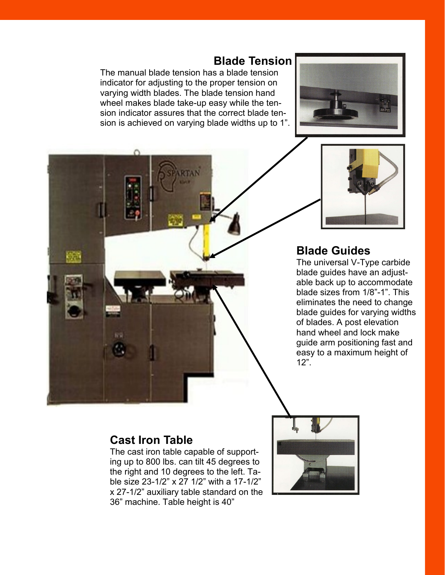### **Blade Tension**

The manual blade tension has a blade tension indicator for adjusting to the proper tension on varying width blades. The blade tension hand wheel makes blade take-up easy while the tension indicator assures that the correct blade tension is achieved on varying blade widths up to 1".





# **Blade Guides**

The universal V-Type carbide blade guides have an adjustable back up to accommodate blade sizes from 1/8"-1". This eliminates the need to change blade guides for varying widths of blades. A post elevation hand wheel and lock make guide arm positioning fast and easy to a maximum height of 12".

### **Cast Iron Table**

The cast iron table capable of supporting up to 800 lbs. can tilt 45 degrees to the right and 10 degrees to the left. Table size 23-1/2" x 27 1/2" with a 17-1/2" x 27-1/2" auxiliary table standard on the 36" machine. Table height is 40"